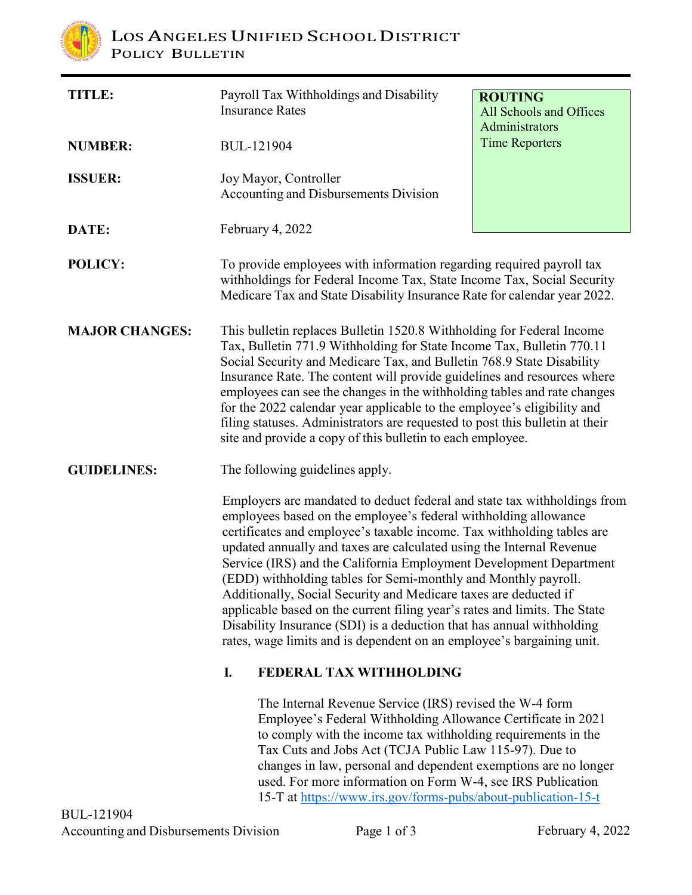

| <b>TITLE:</b>         | Payroll Tax Withholdings and Disability<br><b>Insurance Rates</b>                                                                                                                                                                                                                                                                                                                                                                                                                                                                                                                                                                                                                                                                                                           | <b>ROUTING</b><br>All Schools and Offices<br>Administrators |
|-----------------------|-----------------------------------------------------------------------------------------------------------------------------------------------------------------------------------------------------------------------------------------------------------------------------------------------------------------------------------------------------------------------------------------------------------------------------------------------------------------------------------------------------------------------------------------------------------------------------------------------------------------------------------------------------------------------------------------------------------------------------------------------------------------------------|-------------------------------------------------------------|
| <b>NUMBER:</b>        | <b>BUL-121904</b>                                                                                                                                                                                                                                                                                                                                                                                                                                                                                                                                                                                                                                                                                                                                                           | <b>Time Reporters</b>                                       |
| <b>ISSUER:</b>        | Joy Mayor, Controller<br>Accounting and Disbursements Division                                                                                                                                                                                                                                                                                                                                                                                                                                                                                                                                                                                                                                                                                                              |                                                             |
| DATE:                 | February 4, 2022                                                                                                                                                                                                                                                                                                                                                                                                                                                                                                                                                                                                                                                                                                                                                            |                                                             |
| POLICY:               | To provide employees with information regarding required payroll tax<br>withholdings for Federal Income Tax, State Income Tax, Social Security<br>Medicare Tax and State Disability Insurance Rate for calendar year 2022.                                                                                                                                                                                                                                                                                                                                                                                                                                                                                                                                                  |                                                             |
| <b>MAJOR CHANGES:</b> | This bulletin replaces Bulletin 1520.8 Withholding for Federal Income<br>Tax, Bulletin 771.9 Withholding for State Income Tax, Bulletin 770.11<br>Social Security and Medicare Tax, and Bulletin 768.9 State Disability<br>Insurance Rate. The content will provide guidelines and resources where<br>employees can see the changes in the withholding tables and rate changes<br>for the 2022 calendar year applicable to the employee's eligibility and<br>filing statuses. Administrators are requested to post this bulletin at their<br>site and provide a copy of this bulletin to each employee.                                                                                                                                                                     |                                                             |
| <b>GUIDELINES:</b>    | The following guidelines apply.<br>Employers are mandated to deduct federal and state tax withholdings from<br>employees based on the employee's federal withholding allowance<br>certificates and employee's taxable income. Tax withholding tables are<br>updated annually and taxes are calculated using the Internal Revenue<br>Service (IRS) and the California Employment Development Department<br>(EDD) withholding tables for Semi-monthly and Monthly payroll.<br>Additionally, Social Security and Medicare taxes are deducted if<br>applicable based on the current filing year's rates and limits. The State<br>Disability Insurance (SDI) is a deduction that has annual withholding<br>rates, wage limits and is dependent on an employee's bargaining unit. |                                                             |
|                       |                                                                                                                                                                                                                                                                                                                                                                                                                                                                                                                                                                                                                                                                                                                                                                             |                                                             |
|                       | I.<br>FEDERAL TAX WITHHOLDING                                                                                                                                                                                                                                                                                                                                                                                                                                                                                                                                                                                                                                                                                                                                               |                                                             |
| 3UL-121904            | The Internal Revenue Service (IRS) revised the W-4 form<br>Employee's Federal Withholding Allowance Certificate in 2021<br>to comply with the income tax withholding requirements in the<br>Tax Cuts and Jobs Act (TCJA Public Law 115-97). Due to<br>changes in law, personal and dependent exemptions are no longer<br>used. For more information on Form W-4, see IRS Publication<br>15-T at https://www.irs.gov/forms-pubs/about-publication-15-t                                                                                                                                                                                                                                                                                                                       |                                                             |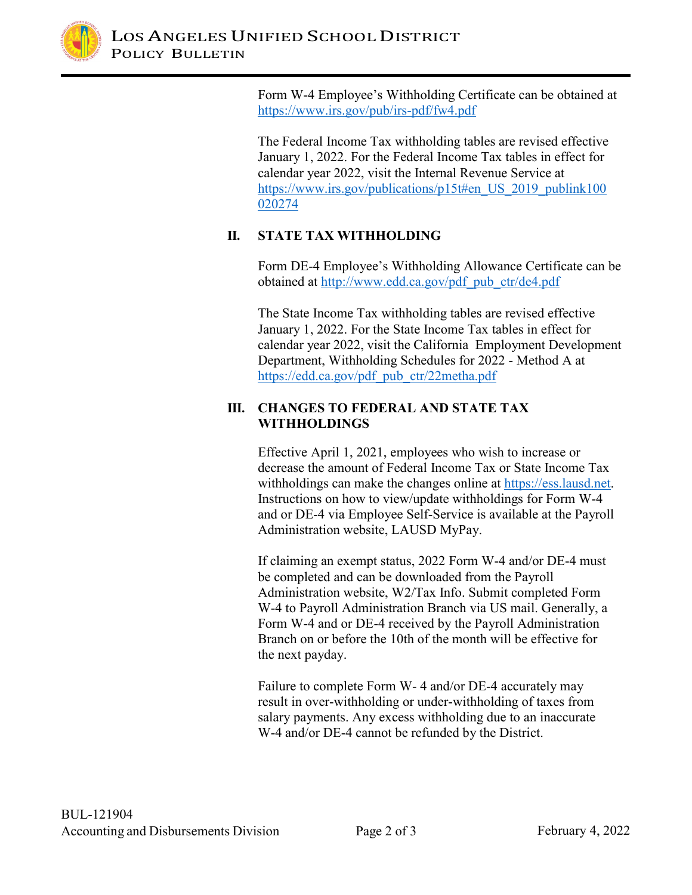

Form W-4 Employee's Withholding Certificate can be obtained at [https://www.irs.gov/pub/irs-pdf/fw4.pdf](http://www.irs.gov/pub/irs-pdf/fw4.pdf)

The Federal Income Tax withholding tables are revised effective January 1, 2022. For the Federal Income Tax tables in effect for calendar year 2022, visit the Internal Revenue Service at [https://www.irs.gov/publications/p15t#en\\_US\\_2019\\_publink100](http://www.irs.gov/publications/p15t#en_US_2019_publink100) 020274

# **II. STATE TAX WITHHOLDING**

Form DE-4 Employee's Withholding Allowance Certificate can be obtained at [http://www.edd.ca.gov/pdf\\_pub\\_ctr/de4.pdf](http://www.edd.ca.gov/pdf_pub_ctr/de4.pdf)

The State Income Tax withholding tables are revised effective January 1, 2022. For the State Income Tax tables in effect for calendar year 2022, visit the California Employment Development Department, Withholding Schedules for 2022 - Method A at https://edd.ca.gov/pdf\_pub\_ctr/22metha.pdf

## **III. CHANGES TO FEDERAL AND STATE TAX WITHHOLDINGS**

Effective April 1, 2021, employees who wish to increase or decrease the amount of Federal Income Tax or State Income Tax withholdings can make the changes online at https://ess.lausd.net. Instructions on how to view/update withholdings for Form W-4 and or DE-4 via Employee Self-Service is available at the Payroll Administration website, LAUSD MyPay.

If claiming an exempt status, 2022 Form W-4 and/or DE-4 must be completed and can be downloaded from the Payroll Administration website, W2/Tax Info. Submit completed Form W-4 to Payroll Administration Branch via US mail. Generally, a Form W-4 and or DE-4 received by the Payroll Administration Branch on or before the 10th of the month will be effective for the next payday.

Failure to complete Form W- 4 and/or DE-4 accurately may result in over-withholding or under-withholding of taxes from salary payments. Any excess withholding due to an inaccurate W-4 and/or DE-4 cannot be refunded by the District.